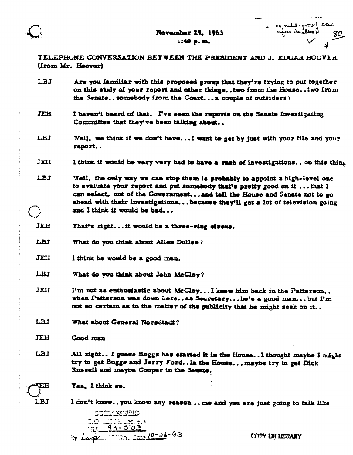November 29, 1963  $1:49 p.m.$ 



TELEPHONE CONVERSATION BETWEEN THE PRESIDENT AND J. EDGAR HOOVER (from Mr. Hoover)

- LBJ Are you familiar with this proposed group that they're trying to put together on this study of your report and other things...two from the House...two from the Senate..somebody from the Court...a couple of outsiders?
- **JEH** I haven't heard of that. I've seen the reports on the Senate Investigating Committee that they've been talking about..
- LBJ Well, we think if we don't have...I want to get by just with your file and your raport..
- JEH I think it would be very very bad to have a rash of investigations.. on this thing
- LBJ Well, the only way we can stop them is probably to appoint a high-level one to evaluate your report and put somebody that's pretty good on it ... that I can select, out of the Government...and tall the House and Senate not to go ahead with thair investigations...because they'll get a lot of television going and I think it would be bad...
- JEH That's right...it would be a three-ring circus.
- LBJ What do you think about Allen Dulles?
- **JEH** I think he would be a good man.
- **LBJ** What do you think about John McCloy?
- I'm not as enthusiastic about McCloy...I knew him back in the Patterson.. **JEH** when Patterson was down here... as Secretary... he's a good man... but  $I'm$ not so certain as to the matter of the publicity that he might seek on it..
- LBJ What about General Norsdtadt?

Yes. I think so.

- JEH Good man
- LBJ All right.. I guess Boggs has started it in the House.. I thought maybe I might try to get Boggs and Jerry Ford..in the House... maybe try to get Dick Russell and maybe Cooper in the Senate.



I don't know..you know any reason ... me and you are just going to talk like

DECLASSIFED . 1733. dec. 3.3<br>193-503  $\frac{1}{2}$  . This  $\frac{1}{2}$  at  $\frac{10-26}{2}$  - 93

COPY IBI LEGARY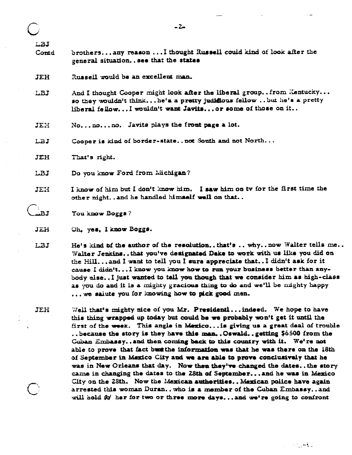|              | $-2-$                                                                                                                                                                                                                                                                                                                                                                                                                                                                                                                            |
|--------------|----------------------------------------------------------------------------------------------------------------------------------------------------------------------------------------------------------------------------------------------------------------------------------------------------------------------------------------------------------------------------------------------------------------------------------------------------------------------------------------------------------------------------------|
| LBJ<br>Contd | brothersany reason  I thought Russell could kind of look after the<br>general situation see that the states                                                                                                                                                                                                                                                                                                                                                                                                                      |
| <b>JEH</b>   | Russell would be an excellent man.                                                                                                                                                                                                                                                                                                                                                                                                                                                                                               |
| LBJ          | And I thought Cooper might look after the liberal groupfrom Kentucky<br>so they wouldn't thinkhe's a pretty judifious fellowbut he's a pretty<br>liberal fellow I wouldn't want Javits or some of those on it                                                                                                                                                                                                                                                                                                                    |
| JEH          | $Nonono.$ Javits plays the front page a lot.                                                                                                                                                                                                                                                                                                                                                                                                                                                                                     |
| LBJ          | Cooper is kind of border-statenot South and not North                                                                                                                                                                                                                                                                                                                                                                                                                                                                            |
| JEH          | That's right.                                                                                                                                                                                                                                                                                                                                                                                                                                                                                                                    |
| LBJ          | Do you know Ford from Michigan?                                                                                                                                                                                                                                                                                                                                                                                                                                                                                                  |
| JEH          | I know of him but I don't know him. I saw him on tv for the first time the<br>other night and he handled himself well on that                                                                                                                                                                                                                                                                                                                                                                                                    |
| BJ           | You know Boggs?                                                                                                                                                                                                                                                                                                                                                                                                                                                                                                                  |
| JEH          | Oh, yes, I know Boggs.                                                                                                                                                                                                                                                                                                                                                                                                                                                                                                           |
| LBJ          | He's kind of the author of the resolutionthat's  whynow Walter tells me.<br>Walter Jenkinsthat you've designated Deke to work with us like you did on<br>the Hill and I want to tell you I sure appreciate that I didn't ask for it<br>cause I didn'tI know you know how to run your business better than any-<br>body elseI just wanted to tall you though that we consider him as high-class<br>as you do and it is a mighty gracious thing to do and we'll be mighty happy<br>we sainte you for knowing how to pick good men. |

JEH Well that's mighty nice of you Mr. Presidenti... indeed. We hope to have this thing wrapped up today but could be we probably won't get it until the first of the week. This angle in Mexico... is giving us a great deal of trouble .. because the story is they have this man. . Oswald. . getting \$6500 from the Guban Embassy..and then coming back to this country with it. We're not able to prove that fact bust the information was that he was there on the 18th of September in Maxico City and we are able to prove conclusively that he was in New Orleans that day. Now then they've changed the dates..the story came in changing the dates to the 28th of September... and he was in Mexico City on the 28th. Now the Mexican authorities.. Mexican police have again arrested this woman Duran.. who is a member of the Cuban Embassy.. and will hold fo her for two or three more days... and we're going to confront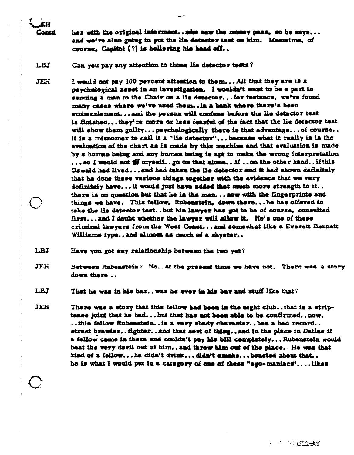her with the original informant... who saw the momey pass, so he says... and we're also going to put the lie detector test on him. Meantime, of course. Capitol (?) is hollering his head off..

LBJ Can you pay any attention to those lie detector tests?

ÈН Contri

I would not pay 100 percent attention to them...All that they are is a JEH psychological asset in an investigation. I wouldn't want to be a part to sending a man to the Chair on a lie detector...for instance, we've found many cases where we've used them... in a bank where there's been embezzlement... and the person will confess before the lie detector test is finished...they're more or less fearful of the fact that the lie detector test will show them guilty...peychologically there is that advantage...of course.. it is a misnomer to call it a "lie detector",..because what it really is is the evaluation of the chart as is made by this machine and that evaluation is made by a human being and any human being is apt to make the wrong interpretation ...so I would not  $\frac{dV}{dV}$  myself..go on that alone...lf..on the other hand..if this Oswald had lived...and had taken the lie detector and it had shown definitely that he done these various things together with the evidence that we very definitely have... it would just have added that much more strength to it.. there is no question but that he is the man... now with the fingerprints and things we have. This fellow, Rubenstein, down there...he has offered to take the lie detector test..but his lawyer has got to be of course, consulted first... and I doubt whether the lawyer will allow it. He's one of these criminal lawyers from the West Coast...and somewhat like a Everett Bennett Williams type..and almost as much of a shyster..

LBJ Have you got any relationship between the two yet?

**JEH** Between Rubenstein? No..at the present time we have not. There was a story down there ..

LBJ That he was in his bar.. was he ever in his bar and stuff like that?

JEH There was a story that this fellow had been in the night club...that is a striptease joint that he had...but that has not been able to be confirmed..now. ..this fellow Rubenstein..is a very shady character..has a bad record.. street brawler..fighter..and that sort of thing..and in the place in Dallas if a fellow came in there and couldn't pay his bill completely... Rubenstein would beat the very devil out of him... and throw him out of the place. He was that kind of a fellow...he didn't drink...didn't smoke...boasted about that.. he is what I would put in a category of one of these "ego-maniacs"....likes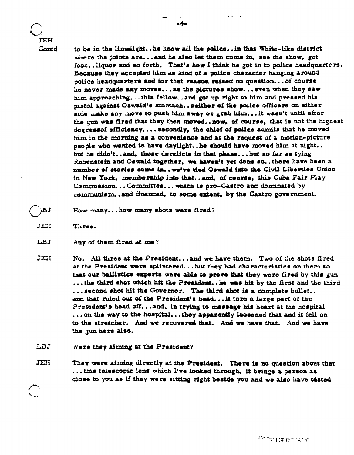**TEH** Cantd

to be in the limelight..he knew all the police..in that White-like district where the joints are...and he also let them come in, see the show, get food. Hower and so forth. That's how I think he got in to police headquarters. Because they accepted him as kind of a police character hanging around police headquarters and for that reason raised no question... of course he naver made any moves... as the pictures show... even when they saw him approaching...this fellow..and got up right to him and pressed his pistol against Oswald's stormach... neither of the police officers on either side make any move to push him away or grab him... it wasn't until after the gun was fired that they then moved..now, of course, that is not the highest degressof efficiancy.... secondly, the chief of police admits that he moved him in the morning as a convenience and at the request of a motion-picture people who wanted to have daylight..be should have moved him at night.. but he didn't..and, those derelicts in that phase...but so far as tying Rubenstein and Oswald together, we haven't yet done so..there have been a number of stories come in.. we've tied Oswald into the Civil Liberties Union in New York, membership into that...and, of course, this Cuba Fair Play Commission... Committee... which is pro-Castro and dominated by communism. and financed, to some extent, by the Castro government.

- How many...how many shots were fired? **.BJ**
- JEH Three.
- LBJ Any of them fired at me?
- JEH No. All three at the President...and we have them. Two of the shots fired at the President were splintered...but they had characteristics on them so that our ballistics experts were able to prove that they were fired by this gun ... the third shot which hit the President.. he was hit by the first and the third ... second shot hit the Governor. The third shot is a complete bullet.. and that ruled out of the President's head... it tore a large part of the President's head off...and, in trying to massage his heart at the hospital ... on the way to the hospital... they apparently loosened that and it fell on to the stretcher. And we recovered that. And we have that. And we have the gun here also.
- LBJ Were they aiming at the President?
- JEH They were aiming directly at the President. There is no question about that ...this telescopic lens which I've looked through, it brings a person as close to you as if they were sitting right beside you and we also have tested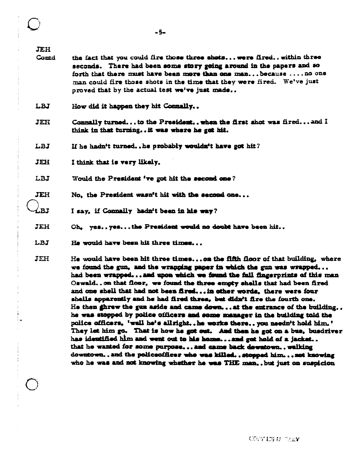**JEH** 

- **Contd** the fact that you could fire those three shots... were fired.. within three seconds. There had been some story going around in the papers and so forth that there must have been more than one man...because ....no one man could fire those shots in the time that they were fired. We've just proved that by the actual test we've just made..
- LBJ How did it happen they hit Connally..
- **JEH** Connally turned... to the President.. when the first shot was fired... and I think in that turning... it was where he got hit.
- LBJ If he hadn't turned..he probably wouldn't have got hit?
- JEH I think that is very likely.
- **LBJ** Would the President 've got hit the second one?
- JEH No. the President wasn't hit with the second one...
- $\ell$ .r.t I say, if Connally hadn't been in his way?
- **JEH** Oh. ves..ves...the President would no doubt have been hit..
- LBJ He would have been hit three times...
- **JEH** He would have been hit three times...on the fifth floor of that building, where we found the gun, and the wrapping paper in which the gun was wrapped... had been wrapped... and upon which we found the full fingerprints of this man Oswald..on that floor, we found the three empty shells that had been fired and one shell that had not been fired... in other words, there were four shells apparently and he had fired three, but didn't fire the fourth one. He then ghrew the gun aside and came down... at the entrance of the building.. he was stopped by police officers and some manager in the building told the police officers, 'well he's allright..he works there..you needn't hold him.' They let him go. That is how he got out. And then he got on a bus, busdriver has identified him and went out to his home... and got hold of a jacket.. that he wanted for some purpose... and came back downtown.. walking downtown..and the policeofficer who was killed..atopped him... not knowing who he was and not knowing whether he was THE man., but just on suspicion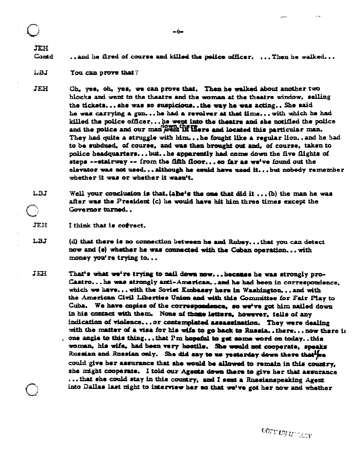**JEH** Contd ..and he fired of course and killed the police officer. ... Then he walked...

-6-

- LBJ You can prove that?
- **JEH** Oh, yes, oh, yes, we can prove that. Then he walked about another two blocks and went to the theatre and the woman at the theatre window, selling the tickets...she was so suspicious..the way he was acting.. She said he was carrying a gun...he had a revolver at that time... with which he had killed the police officer... he went into the theatre and she notified the police and the police and our man went in there and located this particular man. They had quite a struggle with him...he fought like a regular lion..and he had to be subdued, of course, and was then brought out and, of course, taken to police headquarters...but..he apparently had come down the five flights of steps --stairway -- from the fifth floor... so far as we've found out the elevator was not used...although he could have used it...but nobody remember whether it was or whether it wasn't.
- LBJ Well your conclusion is that. (a)he's the one that did it ... (b) the man he was after was the President (c) he would have hit him three times except the Governor turned..

JEH I think that is cofrect.

- LBJ (d) that there is no connection between he and Rubey...that you can detect now and (e) whether he was connected with the Cuban operation... with money you're trying to...
- JEH That's what we're trying to nail down now...because he was strongly pro-Castro...he was strongly anti-American..and he had been in correspondence. which we have... with the Soviet Embassy here in Washington... and with the American Civil Liberties Union and with this Committee for Fair Play to Cuba. We have copies of the correspondence, so we've got him nailed down in his contact with them. None of those letters, however, tells of any indication of violence... or contemplated assassination. They were dealing with the matter of a visa for his wife to go back to Russia... there... now there is , one angle to this thing...that  $\Gamma$ m hopeful to get some word on today..this woman, his wife, had been very hostile. She would not cooperate, speaks Russian and Russian only. She did say to us yesterday down there that we could give her assurance that she would be allowed to remain in this country, she might cooperate. I told our Agents down there to give her that assurance ... that she could stay in this country, and I sent a Russianspeaking Agent into Dallas last night to interview her so that we've got her now and whether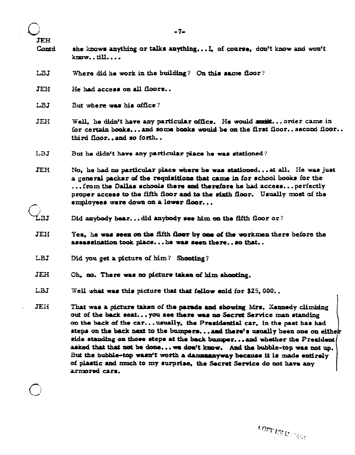|                     | $-7-$                                                                                                                                                                                                                                                                                                                                                                                                                                                                                                                                               |
|---------------------|-----------------------------------------------------------------------------------------------------------------------------------------------------------------------------------------------------------------------------------------------------------------------------------------------------------------------------------------------------------------------------------------------------------------------------------------------------------------------------------------------------------------------------------------------------|
| <b>JEH</b><br>Contd | she knows anything or talks anything I, of course, don't know and won't<br>$k$ now $tll$                                                                                                                                                                                                                                                                                                                                                                                                                                                            |
| LBJ                 | Where did he work in the building? On this same floor?                                                                                                                                                                                                                                                                                                                                                                                                                                                                                              |
| JEH                 | He had access on all floors                                                                                                                                                                                                                                                                                                                                                                                                                                                                                                                         |
| LBJ                 | But where was his office?                                                                                                                                                                                                                                                                                                                                                                                                                                                                                                                           |
| JEH                 | Well, he didn't have any particular office. He would anit  order came in<br>for certain booksand some books would be on the first floorsecond floor<br>third floorand so forth                                                                                                                                                                                                                                                                                                                                                                      |
| LBJ                 | But he didn't have any particular place he was stationed?                                                                                                                                                                                                                                                                                                                                                                                                                                                                                           |
| JEH                 | No, he had no particular place where he was stationed at all. He was just<br>a general packer of the requisitions that came in for school books for the<br>from the Dallas schools there and therefore he had access perfectly<br>proper access to the fifth floor and to the sixth floor. Usually most of the<br>employees were down on a lower floor                                                                                                                                                                                              |
|                     | Did anybody heardid anybody see him on the fifth floor or?                                                                                                                                                                                                                                                                                                                                                                                                                                                                                          |
| JEH                 | Yes, he was seen on the fifth floor by one of the workmen there before the<br>assassination took place he was seen there so that                                                                                                                                                                                                                                                                                                                                                                                                                    |
| LBJ                 | Did you get a picture of him? Shooting?                                                                                                                                                                                                                                                                                                                                                                                                                                                                                                             |
| JEH                 | Ch, no. There was no picture taken of him shooting.                                                                                                                                                                                                                                                                                                                                                                                                                                                                                                 |
| LBJ                 | Well what was this picture that that fellow sold for \$25,000                                                                                                                                                                                                                                                                                                                                                                                                                                                                                       |
| JEH                 | That was a picture taken of the parade and showing Mrs. Kennedy climbing<br>out of the back seatyou see there was no Secret Service man standing<br>on the back of the carusually, the Presidential car, in the past has had<br>steps on the back next to the bumpers and there's usually been one on either<br>side standing on those steps at the back bumper and whether the President<br>asked that that not be done we don't know. And the bubble-top was not up.<br>But the bubble-top wasn't worth a dannaanyway because it is made entirely |

of plastic and much to my surprise, the Secret Service do not have any

 $\frac{1}{\sqrt{2}}$ 

 $\bigcirc$ 

armored cars.

COPY UN UN AGE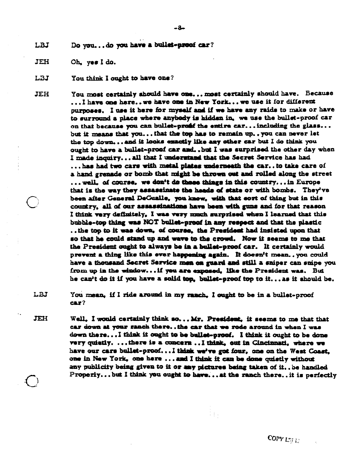Do you...do you have a bullet-proof car? LBJ

JEH Oh, yes I do.

LBJ You think I ought to have one?

You most certainly should have one... most certainly should have. Because **JEH** ...I have one here.. we have one in New York... we use it for different purposes. I use it here for myself and if we have any raids to make or have to surround a place where anybody is hidden in, we use the bullet-proof car on that because you can bullet-profit the entire car... including the glass... but it means that you... that the top has to remain up.. you can never let the top down... and it looks exactly like any other car but I do think you ought to have a builet-proof car and, , but I was surprised the other day when I made inquiry...all that I understand that the Secret Service has had ... has had two cars with metal plates underneath the car..to take care of a hand grenade or bomb that might be thrown out and rolled along the street ... well, of course, we don't de those things in this country... in Europe that is the way they assassinate the heads of state or with bombs. They've been after General DeGualle, you know, with that sort of thing but in this country, all of our assassinations have been with guns and for that reason I think very definitely, I was very much surprised when I learned that this bubble-top thing was NOT bullet-proof in any respect and that the plastic .. the top to it was down, of course, the President had insisted upon that so that he could stand up and wave to the crowd. Now it seems to me that the President ought to always be in a bullet-proof car. It certainly would prevent a thing like this ever happening again. It doesn't mean..you could have a thousand Secret Service men on guard and still a sniper can snipe you from up in the window... if you are exposed. like the President was. But he can't do it if you have a solid top, bullet-proof top to it... as it should be.

LBJ You mean, if I ride around in my ranch. I ought to be in a bullet-proof  $car?$ 

JEH Well. I would certainly think so... Mr. President, it seems to me that that car down at your sanch there...the car that we rode around in when I was down there... I think it ought to be bullet-proof. I think it ought to be done very quietly. ...there is a concern ... I think, out in Cincinnati, where we have our cars builet-proof...I think we've got four, one on the West Coast. one in New York, one here ... and I think it can be done quietly without any publicity being given to it or any pictures being taken of it.. be handled Properly...but I think you ought to have... at the ranch there..it is perfectly

i pi

COPY LBI E